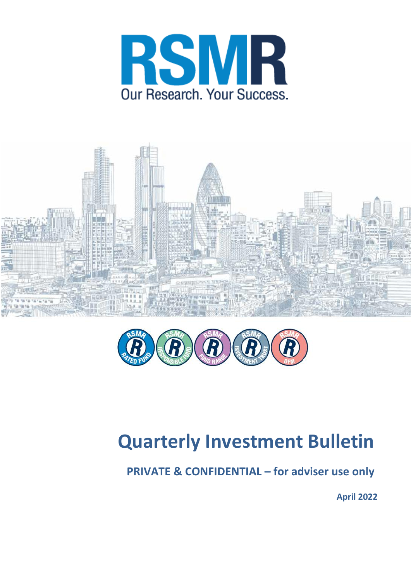





# **Quarterly Investment Bulletin**

**PRIVATE & CONFIDENTIAL – for adviser use only**

**April 2022**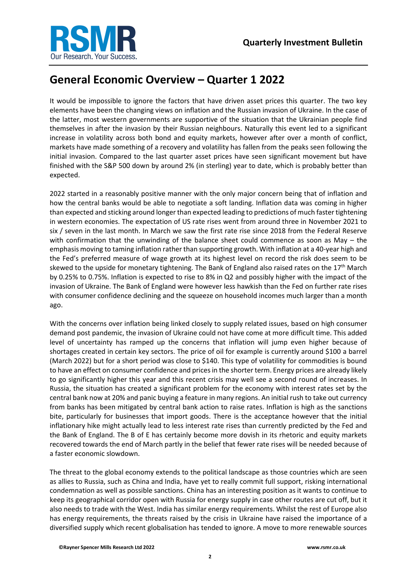

# **General Economic Overview – Quarter 1 2022**

It would be impossible to ignore the factors that have driven asset prices this quarter. The two key elements have been the changing views on inflation and the Russian invasion of Ukraine. In the case of the latter, most western governments are supportive of the situation that the Ukrainian people find themselves in after the invasion by their Russian neighbours. Naturally this event led to a significant increase in volatility across both bond and equity markets, however after over a month of conflict, markets have made something of a recovery and volatility has fallen from the peaks seen following the initial invasion. Compared to the last quarter asset prices have seen significant movement but have finished with the S&P 500 down by around 2% (in sterling) year to date, which is probably better than expected.

2022 started in a reasonably positive manner with the only major concern being that of inflation and how the central banks would be able to negotiate a soft landing. Inflation data was coming in higher than expected and sticking around longer than expected leading to predictions of much faster tightening in western economies. The expectation of US rate rises went from around three in November 2021 to six / seven in the last month. In March we saw the first rate rise since 2018 from the Federal Reserve with confirmation that the unwinding of the balance sheet could commence as soon as May – the emphasis moving to taming inflation rather than supporting growth. With inflation at a 40-year high and the Fed's preferred measure of wage growth at its highest level on record the risk does seem to be skewed to the upside for monetary tightening. The Bank of England also raised rates on the 17<sup>th</sup> March by 0.25% to 0.75%. Inflation is expected to rise to 8% in Q2 and possibly higher with the impact of the invasion of Ukraine. The Bank of England were however less hawkish than the Fed on further rate rises with consumer confidence declining and the squeeze on household incomes much larger than a month ago.

With the concerns over inflation being linked closely to supply related issues, based on high consumer demand post pandemic, the invasion of Ukraine could not have come at more difficult time. This added level of uncertainty has ramped up the concerns that inflation will jump even higher because of shortages created in certain key sectors. The price of oil for example is currently around \$100 a barrel (March 2022) but for a short period was close to \$140. This type of volatility for commodities is bound to have an effect on consumer confidence and prices in the shorter term. Energy prices are already likely to go significantly higher this year and this recent crisis may well see a second round of increases. In Russia, the situation has created a significant problem for the economy with interest rates set by the central bank now at 20% and panic buying a feature in many regions. An initial rush to take out currency from banks has been mitigated by central bank action to raise rates. Inflation is high as the sanctions bite, particularly for businesses that import goods. There is the acceptance however that the initial inflationary hike might actually lead to less interest rate rises than currently predicted by the Fed and the Bank of England. The B of E has certainly become more dovish in its rhetoric and equity markets recovered towards the end of March partly in the belief that fewer rate rises will be needed because of a faster economic slowdown.

The threat to the global economy extends to the political landscape as those countries which are seen as allies to Russia, such as China and India, have yet to really commit full support, risking international condemnation as well as possible sanctions. China has an interesting position as it wants to continue to keep its geographical corridor open with Russia for energy supply in case other routes are cut off, but it also needs to trade with the West. India has similar energy requirements. Whilst the rest of Europe also has energy requirements, the threats raised by the crisis in Ukraine have raised the importance of a diversified supply which recent globalisation has tended to ignore. A move to more renewable sources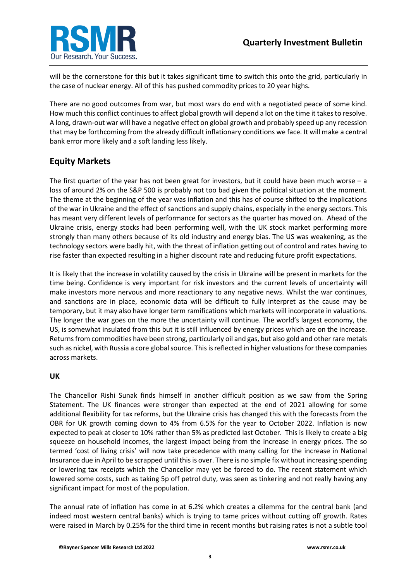

will be the cornerstone for this but it takes significant time to switch this onto the grid, particularly in the case of nuclear energy. All of this has pushed commodity prices to 20 year highs.

There are no good outcomes from war, but most wars do end with a negotiated peace of some kind. How much this conflict continues to affect global growth will depend a lot on the time it takes to resolve. A long, drawn-out war will have a negative effect on global growth and probably speed up any recession that may be forthcoming from the already difficult inflationary conditions we face. It will make a central bank error more likely and a soft landing less likely.

## **Equity Markets**

The first quarter of the year has not been great for investors, but it could have been much worse – a loss of around 2% on the S&P 500 is probably not too bad given the political situation at the moment. The theme at the beginning of the year was inflation and this has of course shifted to the implications of the war in Ukraine and the effect of sanctions and supply chains, especially in the energy sectors. This has meant very different levels of performance for sectors as the quarter has moved on. Ahead of the Ukraine crisis, energy stocks had been performing well, with the UK stock market performing more strongly than many others because of its old industry and energy bias. The US was weakening, as the technology sectors were badly hit, with the threat of inflation getting out of control and rates having to rise faster than expected resulting in a higher discount rate and reducing future profit expectations.

It is likely that the increase in volatility caused by the crisis in Ukraine will be present in markets for the time being. Confidence is very important for risk investors and the current levels of uncertainty will make investors more nervous and more reactionary to any negative news. Whilst the war continues, and sanctions are in place, economic data will be difficult to fully interpret as the cause may be temporary, but it may also have longer term ramifications which markets will incorporate in valuations. The longer the war goes on the more the uncertainty will continue. The world's largest economy, the US, is somewhat insulated from this but it is still influenced by energy prices which are on the increase. Returns from commodities have been strong, particularly oil and gas, but also gold and other rare metals such as nickel, with Russia a core global source. This is reflected in higher valuations for these companies across markets.

#### **UK**

The Chancellor Rishi Sunak finds himself in another difficult position as we saw from the Spring Statement. The UK finances were stronger than expected at the end of 2021 allowing for some additional flexibility for tax reforms, but the Ukraine crisis has changed this with the forecasts from the OBR for UK growth coming down to 4% from 6.5% for the year to October 2022. Inflation is now expected to peak at closer to 10% rather than 5% as predicted last October. This is likely to create a big squeeze on household incomes, the largest impact being from the increase in energy prices. The so termed 'cost of living crisis' will now take precedence with many calling for the increase in National Insurance due in April to be scrapped until this is over. There is no simple fix without increasing spending or lowering tax receipts which the Chancellor may yet be forced to do. The recent statement which lowered some costs, such as taking 5p off petrol duty, was seen as tinkering and not really having any significant impact for most of the population.

The annual rate of inflation has come in at 6.2% which creates a dilemma for the central bank (and indeed most western central banks) which is trying to tame prices without cutting off growth. Rates were raised in March by 0.25% for the third time in recent months but raising rates is not a subtle tool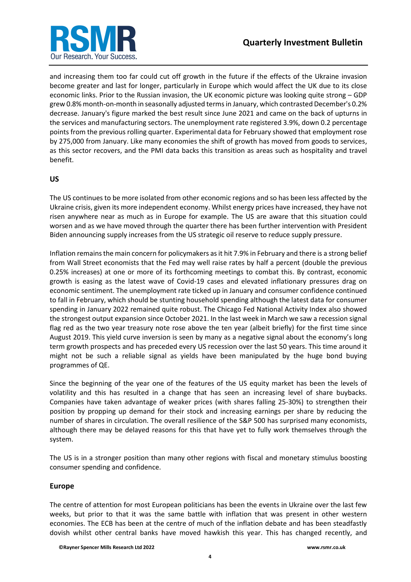

and increasing them too far could cut off growth in the future if the effects of the Ukraine invasion become greater and last for longer, particularly in Europe which would affect the UK due to its close economic links. Prior to the Russian invasion, the UK economic picture was looking quite strong – GDP grew 0.8% month-on-month in seasonally adjusted terms in January, which contrasted December's 0.2% decrease. January's figure marked the best result since June 2021 and came on the back of upturns in the services and manufacturing sectors. The unemployment rate registered 3.9%, down 0.2 percentage points from the previous rolling quarter. Experimental data for February showed that employment rose by 275,000 from January. Like many economies the shift of growth has moved from goods to services, as this sector recovers, and the PMI data backs this transition as areas such as hospitality and travel benefit.

#### **US**

The US continues to be more isolated from other economic regions and so has been less affected by the Ukraine crisis, given its more independent economy. Whilst energy prices have increased, they have not risen anywhere near as much as in Europe for example. The US are aware that this situation could worsen and as we have moved through the quarter there has been further intervention with President Biden announcing supply increases from the US strategic oil reserve to reduce supply pressure.

Inflation remainsthe main concern for policymakers as it hit 7.9% in February and there is a strong belief from Wall Street economists that the Fed may well raise rates by half a percent (double the previous 0.25% increases) at one or more of its forthcoming meetings to combat this. By contrast, economic growth is easing as the latest wave of Covid-19 cases and elevated inflationary pressures drag on economic sentiment. The unemployment rate ticked up in January and consumer confidence continued to fall in February, which should be stunting household spending although the latest data for consumer spending in January 2022 remained quite robust. The Chicago Fed National Activity Index also showed the strongest output expansion since October 2021. In the last week in March we saw a recession signal flag red as the two year treasury note rose above the ten year (albeit briefly) for the first time since August 2019. This yield curve inversion is seen by many as a negative signal about the economy's long term growth prospects and has preceded every US recession over the last 50 years. This time around it might not be such a reliable signal as yields have been manipulated by the huge bond buying programmes of QE.

Since the beginning of the year one of the features of the US equity market has been the levels of volatility and this has resulted in a change that has seen an increasing level of share buybacks. Companies have taken advantage of weaker prices (with shares falling 25-30%) to strengthen their position by propping up demand for their stock and increasing earnings per share by reducing the number of shares in circulation. The overall resilience of the S&P 500 has surprised many economists, although there may be delayed reasons for this that have yet to fully work themselves through the system.

The US is in a stronger position than many other regions with fiscal and monetary stimulus boosting consumer spending and confidence.

#### **Europe**

The centre of attention for most European politicians has been the events in Ukraine over the last few weeks, but prior to that it was the same battle with inflation that was present in other western economies. The ECB has been at the centre of much of the inflation debate and has been steadfastly dovish whilst other central banks have moved hawkish this year. This has changed recently, and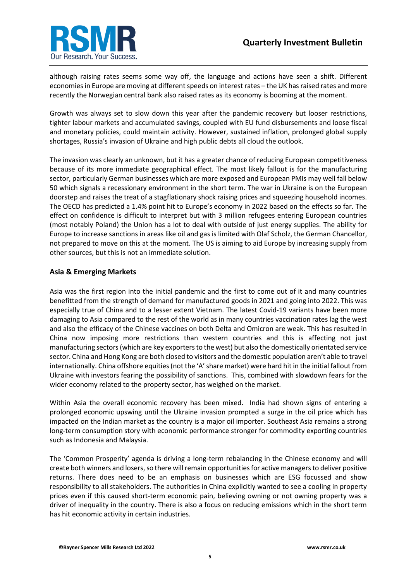

although raising rates seems some way off, the language and actions have seen a shift. Different economies in Europe are moving at different speeds on interest rates – the UK has raised rates and more recently the Norwegian central bank also raised rates as its economy is booming at the moment.

Growth was always set to slow down this year after the pandemic recovery but looser restrictions, tighter labour markets and accumulated savings, coupled with EU fund disbursements and loose fiscal and monetary policies, could maintain activity. However, sustained inflation, prolonged global supply shortages, Russia's invasion of Ukraine and high public debts all cloud the outlook.

The invasion was clearly an unknown, but it has a greater chance of reducing European competitiveness because of its more immediate geographical effect. The most likely fallout is for the manufacturing sector, particularly German businesses which are more exposed and European PMIs may well fall below 50 which signals a recessionary environment in the short term. The war in Ukraine is on the European doorstep and raises the treat of a stagflationary shock raising prices and squeezing household incomes. The OECD has predicted a 1.4% point hit to Europe's economy in 2022 based on the effects so far. The effect on confidence is difficult to interpret but with 3 million refugees entering European countries (most notably Poland) the Union has a lot to deal with outside of just energy supplies. The ability for Europe to increase sanctions in areas like oil and gas is limited with Olaf Scholz, the German Chancellor, not prepared to move on this at the moment. The US is aiming to aid Europe by increasing supply from other sources, but this is not an immediate solution.

#### **Asia & Emerging Markets**

Asia was the first region into the initial pandemic and the first to come out of it and many countries benefitted from the strength of demand for manufactured goods in 2021 and going into 2022. This was especially true of China and to a lesser extent Vietnam. The latest Covid-19 variants have been more damaging to Asia compared to the rest of the world as in many countries vaccination rates lag the west and also the efficacy of the Chinese vaccines on both Delta and Omicron are weak. This has resulted in China now imposing more restrictions than western countries and this is affecting not just manufacturing sectors (which are key exporters to the west) but also the domestically orientated service sector. China and Hong Kong are both closed to visitors and the domestic population aren't able to travel internationally. China offshore equities (not the 'A' share market) were hard hit in the initial fallout from Ukraine with investors fearing the possibility of sanctions. This, combined with slowdown fears for the wider economy related to the property sector, has weighed on the market.

Within Asia the overall economic recovery has been mixed. India had shown signs of entering a prolonged economic upswing until the Ukraine invasion prompted a surge in the oil price which has impacted on the Indian market as the country is a major oil importer. Southeast Asia remains a strong long-term consumption story with economic performance stronger for commodity exporting countries such as Indonesia and Malaysia.

The 'Common Prosperity' agenda is driving a long-term rebalancing in the Chinese economy and will create both winners and losers, so there will remain opportunities for active managers to deliver positive returns. There does need to be an emphasis on businesses which are ESG focussed and show responsibility to all stakeholders. The authorities in China explicitly wanted to see a cooling in property prices even if this caused short-term economic pain, believing owning or not owning property was a driver of inequality in the country. There is also a focus on reducing emissions which in the short term has hit economic activity in certain industries.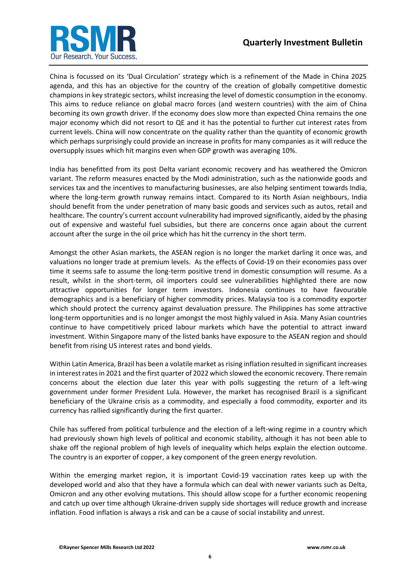



China is focussed on its 'Dual Circulation' strategy which is a refinement of the Made in China 2025 agenda, and this has an objective for the country of the creation of globally competitive domestic champions in key strategic sectors, whilst increasing the level of domestic consumption in the economy. This aims to reduce reliance on global macro forces (and western countries) with the aim of China becoming its own growth driver. If the economy does slow more than expected China remains the one major economy which did not resort to QE and it has the potential to further cut interest rates from current levels. China will now concentrate on the quality rather than the quantity of economic growth which perhaps surprisingly could provide an increase in profits for many companies as it will reduce the oversupply issues which hit margins even when GDP growth was averaging 10%.

India has benefitted from its post Delta variant economic recovery and has weathered the Omicron variant. The reform measures enacted by the Modi administration, such as the nationwide goods and services tax and the incentives to manufacturing businesses, are also helping sentiment towards India, where the long-term growth runway remains intact. Compared to its North Asian neighbours, India should benefit from the under penetration of many basic goods and services such as autos, retail and healthcare. The country's current account vulnerability had improved significantly, aided by the phasing out of expensive and wasteful fuel subsidies, but there are concerns once again about the current account after the surge in the oil price which has hit the currency in the short term.

Amongst the other Asian markets, the ASEAN region is no longer the market darling it once was, and valuations no longer trade at premium levels. As the effects of Covid-19 on their economies pass over time it seems safe to assume the long-term positive trend in domestic consumption will resume. As a result, whilst in the short-term, oil importers could see vulnerabilities highlighted there are now attractive opportunities for longer term investors. Indonesia continues to have favourable demographics and is a beneficiary of higher commodity prices. Malaysia too is a commodity exporter which should protect the currency against devaluation pressure. The Philippines has some attractive long-term opportunities and is no longer amongst the most highly valued in Asia. Many Asian countries continue to have competitively priced labour markets which have the potential to attract inward investment. Within Singapore many of the listed banks have exposure to the ASEAN region and should benefit from rising US interest rates and bond yields.

Within Latin America, Brazil has been a volatile market as rising inflation resulted in significant increases in interest rates in 2021 and the first quarter of 2022 which slowed the economic recovery. There remain concerns about the election due later this year with polls suggesting the return of a left-wing government under former President Lula. However, the market has recognised Brazil is a significant beneficiary of the Ukraine crisis as a commodity, and especially a food commodity, exporter and its currency has rallied significantly during the first quarter.

Chile has suffered from political turbulence and the election of a left-wing regime in a country which had previously shown high levels of political and economic stability, although it has not been able to shake off the regional problem of high levels of inequality which helps explain the election outcome. The country is an exporter of copper, a key component of the green energy revolution.

Within the emerging market region, it is important Covid-19 vaccination rates keep up with the developed world and also that they have a formula which can deal with newer variants such as Delta, Omicron and any other evolving mutations. This should allow scope for a further economic reopening and catch up over time although Ukraine-driven supply side shortages will reduce growth and increase inflation. Food inflation is always a risk and can be a cause of social instability and unrest.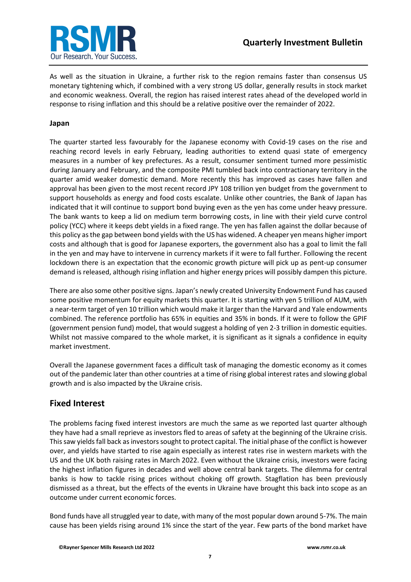

As well as the situation in Ukraine, a further risk to the region remains faster than consensus US monetary tightening which, if combined with a very strong US dollar, generally results in stock market and economic weakness. Overall, the region has raised interest rates ahead of the developed world in response to rising inflation and this should be a relative positive over the remainder of 2022.

#### **Japan**

The quarter started less favourably for the Japanese economy with Covid-19 cases on the rise and reaching record levels in early February, leading authorities to extend quasi state of emergency measures in a number of key prefectures. As a result, consumer sentiment turned more pessimistic during January and February, and the composite PMI tumbled back into contractionary territory in the quarter amid weaker domestic demand. More recently this has improved as cases have fallen and approval has been given to the most recent record JPY 108 trillion yen budget from the government to support households as energy and food costs escalate. Unlike other countries, the Bank of Japan has indicated that it will continue to support bond buying even as the yen has come under heavy pressure. The bank wants to keep a lid on medium term borrowing costs, in line with their yield curve control policy (YCC) where it keeps debt yields in a fixed range. The yen has fallen against the dollar because of this policy as the gap between bond yields with the US has widened. A cheaper yen means higher import costs and although that is good for Japanese exporters, the government also has a goal to limit the fall in the yen and may have to intervene in currency markets if it were to fall further. Following the recent lockdown there is an expectation that the economic growth picture will pick up as pent-up consumer demand is released, although rising inflation and higher energy prices will possibly dampen this picture.

There are also some other positive signs. Japan's newly created University Endowment Fund has caused some positive momentum for equity markets this quarter. It is starting with yen 5 trillion of AUM, with a near-term target of yen 10 trillion which would make it larger than the Harvard and Yale endowments combined. The reference portfolio has 65% in equities and 35% in bonds. If it were to follow the GPIF (government pension fund) model, that would suggest a holding of yen 2-3 trillion in domestic equities. Whilst not massive compared to the whole market, it is significant as it signals a confidence in equity market investment.

Overall the Japanese government faces a difficult task of managing the domestic economy as it comes out of the pandemic later than other countries at a time of rising global interest rates and slowing global growth and is also impacted by the Ukraine crisis.

### **Fixed Interest**

The problems facing fixed interest investors are much the same as we reported last quarter although they have had a small reprieve as investors fled to areas of safety at the beginning of the Ukraine crisis. This saw yields fall back as investors sought to protect capital. The initial phase of the conflict is however over, and yields have started to rise again especially as interest rates rise in western markets with the US and the UK both raising rates in March 2022. Even without the Ukraine crisis, investors were facing the highest inflation figures in decades and well above central bank targets. The dilemma for central banks is how to tackle rising prices without choking off growth. Stagflation has been previously dismissed as a threat, but the effects of the events in Ukraine have brought this back into scope as an outcome under current economic forces.

Bond funds have all struggled year to date, with many of the most popular down around 5-7%. The main cause has been yields rising around 1% since the start of the year. Few parts of the bond market have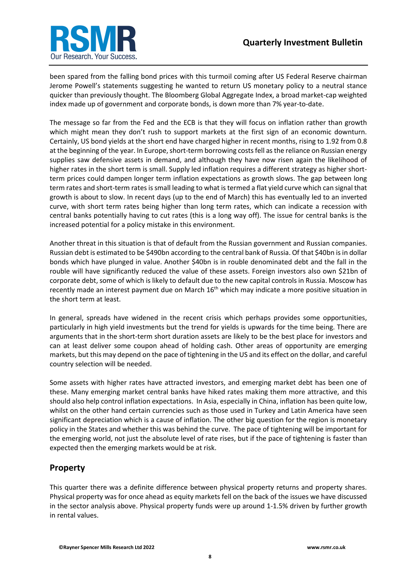

been spared from the falling bond prices with this turmoil coming after US Federal Reserve chairman Jerome Powell's statements suggesting he wanted to return US monetary policy to a neutral stance quicker than previously thought. The Bloomberg Global Aggregate Index, a broad market-cap weighted index made up of government and corporate bonds, is down more than 7% year-to-date.

The message so far from the Fed and the ECB is that they will focus on inflation rather than growth which might mean they don't rush to support markets at the first sign of an economic downturn. Certainly, US bond yields at the short end have charged higher in recent months, rising to 1.92 from 0.8 at the beginning of the year. In Europe, short-term borrowing costs fell as the reliance on Russian energy supplies saw defensive assets in demand, and although they have now risen again the likelihood of higher rates in the short term is small. Supply led inflation requires a different strategy as higher shortterm prices could dampen longer term inflation expectations as growth slows. The gap between long term rates and short-term rates is small leading to what is termed a flat yield curve which can signal that growth is about to slow. In recent days (up to the end of March) this has eventually led to an inverted curve, with short term rates being higher than long term rates, which can indicate a recession with central banks potentially having to cut rates (this is a long way off). The issue for central banks is the increased potential for a policy mistake in this environment.

Another threat in this situation is that of default from the Russian government and Russian companies. Russian debt is estimated to be \$490bn according to the central bank of Russia. Of that \$40bn is in dollar bonds which have plunged in value. Another \$40bn is in rouble denominated debt and the fall in the rouble will have significantly reduced the value of these assets. Foreign investors also own \$21bn of corporate debt, some of which is likely to default due to the new capital controls in Russia. Moscow has recently made an interest payment due on March 16<sup>th</sup> which may indicate a more positive situation in the short term at least.

In general, spreads have widened in the recent crisis which perhaps provides some opportunities, particularly in high yield investments but the trend for yields is upwards for the time being. There are arguments that in the short-term short duration assets are likely to be the best place for investors and can at least deliver some coupon ahead of holding cash. Other areas of opportunity are emerging markets, but this may depend on the pace of tightening in the US and its effect on the dollar, and careful country selection will be needed.

Some assets with higher rates have attracted investors, and emerging market debt has been one of these. Many emerging market central banks have hiked rates making them more attractive, and this should also help control inflation expectations. In Asia, especially in China, inflation has been quite low, whilst on the other hand certain currencies such as those used in Turkey and Latin America have seen significant depreciation which is a cause of inflation. The other big question for the region is monetary policy in the States and whether this was behind the curve. The pace of tightening will be important for the emerging world, not just the absolute level of rate rises, but if the pace of tightening is faster than expected then the emerging markets would be at risk.

# **Property**

This quarter there was a definite difference between physical property returns and property shares. Physical property was for once ahead as equity markets fell on the back of the issues we have discussed in the sector analysis above. Physical property funds were up around 1-1.5% driven by further growth in rental values.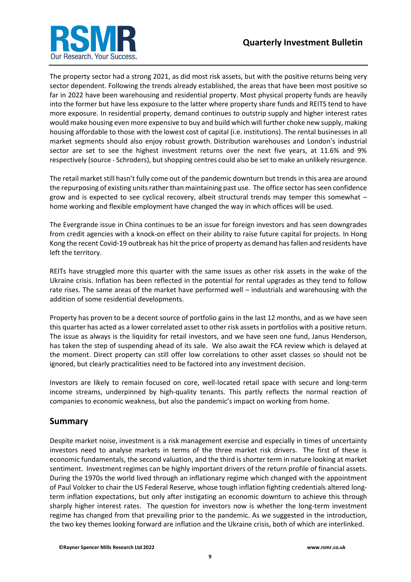

The property sector had a strong 2021, as did most risk assets, but with the positive returns being very sector dependent. Following the trends already established, the areas that have been most positive so far in 2022 have been warehousing and residential property. Most physical property funds are heavily into the former but have less exposure to the latter where property share funds and REITS tend to have more exposure. In residential property, demand continues to outstrip supply and higher interest rates would make housing even more expensive to buy and build which will further choke new supply, making housing affordable to those with the lowest cost of capital (i.e. institutions). The rental businesses in all market segments should also enjoy robust growth. Distribution warehouses and London's industrial sector are set to see the highest investment returns over the next five years, at 11.6% and 9% respectively (source - Schroders), but shopping centres could also be set to make an unlikely resurgence.

The retail market still hasn't fully come out of the pandemic downturn but trends in this area are around the repurposing of existing units rather than maintaining past use. The office sector has seen confidence grow and is expected to see cyclical recovery, albeit structural trends may temper this somewhat – home working and flexible employment have changed the way in which offices will be used.

The Evergrande issue in China continues to be an issue for foreign investors and has seen downgrades from credit agencies with a knock-on effect on their ability to raise future capital for projects. In Hong Kong the recent Covid-19 outbreak has hit the price of property as demand has fallen and residents have left the territory.

REITs have struggled more this quarter with the same issues as other risk assets in the wake of the Ukraine crisis. Inflation has been reflected in the potential for rental upgrades as they tend to follow rate rises. The same areas of the market have performed well – industrials and warehousing with the addition of some residential developments.

Property has proven to be a decent source of portfolio gains in the last 12 months, and as we have seen this quarter has acted as a lower correlated asset to other risk assets in portfolios with a positive return. The issue as always is the liquidity for retail investors, and we have seen one fund, Janus Henderson, has taken the step of suspending ahead of its sale. We also await the FCA review which is delayed at the moment. Direct property can still offer low correlations to other asset classes so should not be ignored, but clearly practicalities need to be factored into any investment decision.

Investors are likely to remain focused on core, well-located retail space with secure and long-term income streams, underpinned by high-quality tenants. This partly reflects the normal reaction of companies to economic weakness, but also the pandemic's impact on working from home.

#### **Summary**

Despite market noise, investment is a risk management exercise and especially in times of uncertainty investors need to analyse markets in terms of the three market risk drivers. The first of these is economic fundamentals, the second valuation, and the third is shorter term in nature looking at market sentiment. Investment regimes can be highly important drivers of the return profile of financial assets. During the 1970s the world lived through an inflationary regime which changed with the appointment of Paul Volcker to chair the US Federal Reserve, whose tough inflation fighting credentials altered longterm inflation expectations, but only after instigating an economic downturn to achieve this through sharply higher interest rates. The question for investors now is whether the long-term investment regime has changed from that prevailing prior to the pandemic. As we suggested in the introduction, the two key themes looking forward are inflation and the Ukraine crisis, both of which are interlinked.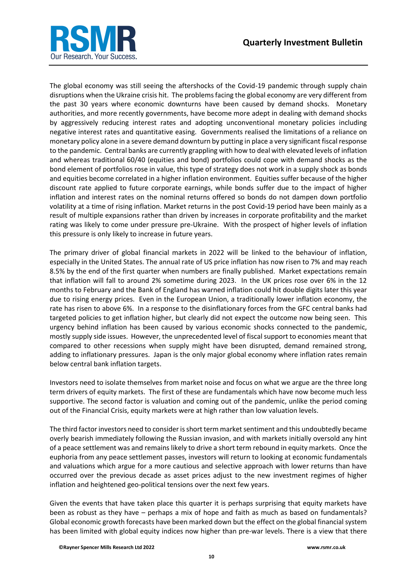

The global economy was still seeing the aftershocks of the Covid-19 pandemic through supply chain disruptions when the Ukraine crisis hit. The problems facing the global economy are very different from the past 30 years where economic downturns have been caused by demand shocks. Monetary authorities, and more recently governments, have become more adept in dealing with demand shocks by aggressively reducing interest rates and adopting unconventional monetary policies including negative interest rates and quantitative easing. Governments realised the limitations of a reliance on monetary policy alone in a severe demand downturn by putting in place a very significant fiscal response to the pandemic. Central banks are currently grappling with how to deal with elevated levels of inflation and whereas traditional 60/40 (equities and bond) portfolios could cope with demand shocks as the bond element of portfolios rose in value, this type of strategy does not work in a supply shock as bonds and equities become correlated in a higher inflation environment. Equities suffer because of the higher discount rate applied to future corporate earnings, while bonds suffer due to the impact of higher inflation and interest rates on the nominal returns offered so bonds do not dampen down portfolio volatility at a time of rising inflation. Market returns in the post Covid-19 period have been mainly as a result of multiple expansions rather than driven by increases in corporate profitability and the market rating was likely to come under pressure pre-Ukraine. With the prospect of higher levels of inflation this pressure is only likely to increase in future years.

The primary driver of global financial markets in 2022 will be linked to the behaviour of inflation, especially in the United States. The annual rate of US price inflation has now risen to 7% and may reach 8.5% by the end of the first quarter when numbers are finally published. Market expectations remain that inflation will fall to around 2% sometime during 2023. In the UK prices rose over 6% in the 12 months to February and the Bank of England has warned inflation could hit double digits later this year due to rising energy prices. Even in the European Union, a traditionally lower inflation economy, the rate has risen to above 6%. In a response to the disinflationary forces from the GFC central banks had targeted policies to get inflation higher, but clearly did not expect the outcome now being seen. This urgency behind inflation has been caused by various economic shocks connected to the pandemic, mostly supply side issues. However, the unprecedented level of fiscal support to economies meant that compared to other recessions when supply might have been disrupted, demand remained strong, adding to inflationary pressures. Japan is the only major global economy where inflation rates remain below central bank inflation targets.

Investors need to isolate themselves from market noise and focus on what we argue are the three long term drivers of equity markets. The first of these are fundamentals which have now become much less supportive. The second factor is valuation and coming out of the pandemic, unlike the period coming out of the Financial Crisis, equity markets were at high rather than low valuation levels.

The third factor investors need to consider is short term market sentiment and this undoubtedly became overly bearish immediately following the Russian invasion, and with markets initially oversold any hint of a peace settlement was and remains likely to drive a short term rebound in equity markets. Once the euphoria from any peace settlement passes, investors will return to looking at economic fundamentals and valuations which argue for a more cautious and selective approach with lower returns than have occurred over the previous decade as asset prices adjust to the new investment regimes of higher inflation and heightened geo-political tensions over the next few years.

Given the events that have taken place this quarter it is perhaps surprising that equity markets have been as robust as they have – perhaps a mix of hope and faith as much as based on fundamentals? Global economic growth forecasts have been marked down but the effect on the global financial system has been limited with global equity indices now higher than pre-war levels. There is a view that there